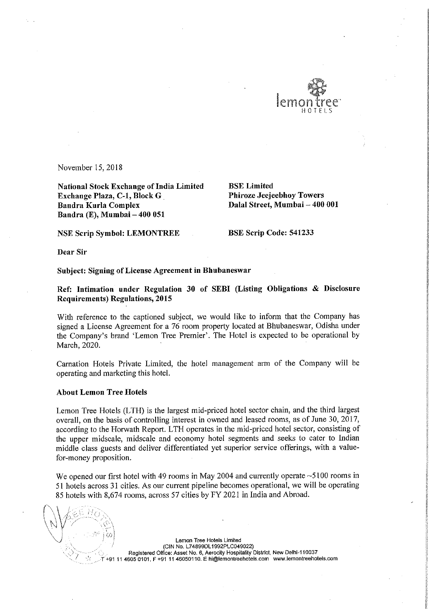

November 15, 2018

National Stock Exchange of India Limited<br> **Exchange Plaza, C-1, Block G** Phiroze Jeejeebhoy Towers Exchange Plaza, C-1, Block G<br>Bandra Kurla Complex Bandra Kurla Complex Dalal Street, Mumbai — 400 001 Bandra (E), Mumbai — 400 051

NSE Scrip Symbol: LEMONTREE BSE Scrip Code: 541233

Dear Sir

## Subject: Signing of License Agreement in Bhubaneswar

Ref: Intimation under Regulation <sup>30</sup> of SEBI (Listing Obligations & Disclosure Requirements) Regulations, 2015

With reference to the captioned subject, we would like to inform that the Company has signed a License Agreement for a 76 room property located at Bhubaneswar, Odisha under the Company's brand 'Lemon Tree Premier'. The Hotel is expected to be operational by March, 2020.

Carnation Hotels Private Limited, the hotel management arm of the Company will be operating and marketing this hotel.

## About Lemon Tree Hotels

Lemon Tree Hotels (LTH) is the largest mid-priced hotel sector chain, and the third largest overall, on the basis of controlling interest in owned and leased rooms, as of June 30, 2017, according to the Horwath Report. LTH operates in the mid—priced hotel sector, consisting of the upper midscale, midscale and economy hotel segments and seeks to cater to Indian middle class guests and deliver differentiated yet superior service offerings, with <sup>a</sup> valuefor-money proposition.

We opened our first hotel with 49 rooms in May 2004 and currently operate ~5100 rooms in <sup>51</sup> hotels across <sup>31</sup> cities. As our current pipeline becomes operational, we will be operating <sup>85</sup> hotels with 8,674 rooms, across <sup>57</sup> cities by FY 2021 in India and Abroad.

'

Lemon Tree Hotels Limited (CiN No. L748990L1992PL0049022) Registered Office: Asset No. 6, Aerocity Hospitality District, New Delhi-110037 +91 11 4605 0101, F +91 11 46050110. E hi@lemontreehotels.com www.lemontreehotels.com